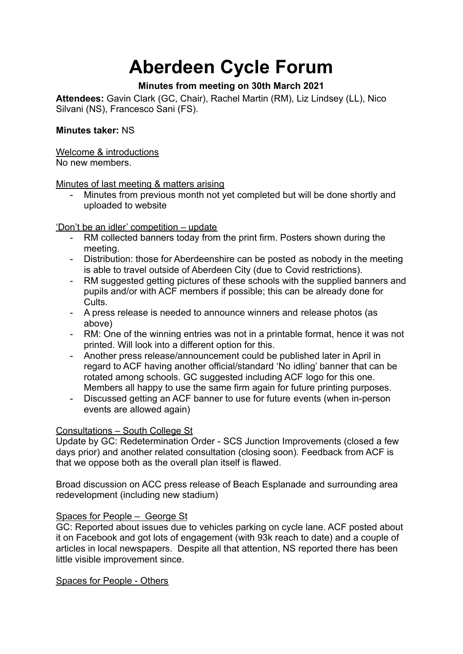# **Aberdeen Cycle Forum**

# **Minutes from meeting on 30th March 2021**

**Attendees:** Gavin Clark (GC, Chair), Rachel Martin (RM), Liz Lindsey (LL), Nico Silvani (NS), Francesco Sani (FS).

## **Minutes taker:** NS

Welcome & introductions

No new members.

Minutes of last meeting & matters arising

- Minutes from previous month not yet completed but will be done shortly and uploaded to website

'Don't be an idler' competition – update

- RM collected banners today from the print firm. Posters shown during the meeting.
- Distribution: those for Aberdeenshire can be posted as nobody in the meeting is able to travel outside of Aberdeen City (due to Covid restrictions).
- RM suggested getting pictures of these schools with the supplied banners and pupils and/or with ACF members if possible; this can be already done for Cults.
- A press release is needed to announce winners and release photos (as above)
- RM: One of the winning entries was not in a printable format, hence it was not printed. Will look into a different option for this.
- Another press release/announcement could be published later in April in regard to ACF having another official/standard 'No idling' banner that can be rotated among schools. GC suggested including ACF logo for this one. Members all happy to use the same firm again for future printing purposes.
- Discussed getting an ACF banner to use for future events (when in-person events are allowed again)

## Consultations – South College St

Update by GC: Redetermination Order - SCS Junction Improvements (closed a few days prior) and another related consultation (closing soon). Feedback from ACF is that we oppose both as the overall plan itself is flawed.

Broad discussion on ACC press release of Beach Esplanade and surrounding area redevelopment (including new stadium)

## Spaces for People – George St

GC: Reported about issues due to vehicles parking on cycle lane. ACF posted about it on Facebook and got lots of engagement (with 93k reach to date) and a couple of articles in local newspapers. Despite all that attention, NS reported there has been little visible improvement since.

Spaces for People - Others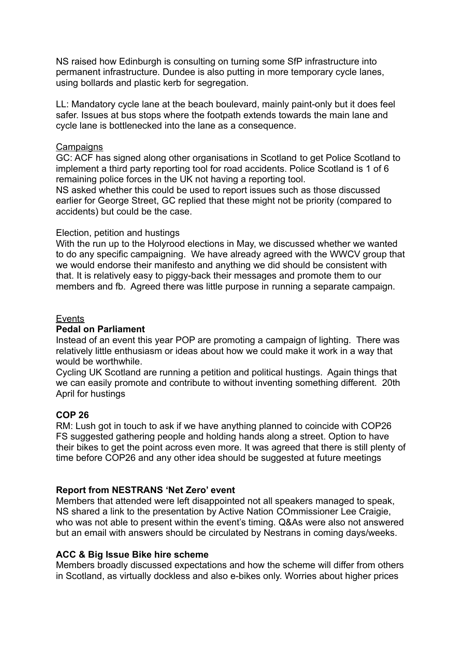NS raised how Edinburgh is consulting on turning some SfP infrastructure into permanent infrastructure. Dundee is also putting in more temporary cycle lanes, using bollards and plastic kerb for segregation.

LL: Mandatory cycle lane at the beach boulevard, mainly paint-only but it does feel safer. Issues at bus stops where the footpath extends towards the main lane and cycle lane is bottlenecked into the lane as a consequence.

### **Campaigns**

GC: ACF has signed along other organisations in Scotland to get Police Scotland to implement a third party reporting tool for road accidents. Police Scotland is 1 of 6 remaining police forces in the UK not having a reporting tool.

NS asked whether this could be used to report issues such as those discussed earlier for George Street, GC replied that these might not be priority (compared to accidents) but could be the case.

#### Election, petition and hustings

With the run up to the Holyrood elections in May, we discussed whether we wanted to do any specific campaigning. We have already agreed with the WWCV group that we would endorse their manifesto and anything we did should be consistent with that. It is relatively easy to piggy-back their messages and promote them to our members and fb. Agreed there was little purpose in running a separate campaign.

#### Events

#### **Pedal on Parliament**

Instead of an event this year POP are promoting a campaign of lighting. There was relatively little enthusiasm or ideas about how we could make it work in a way that would be worthwhile.

Cycling UK Scotland are running a petition and political hustings. Again things that we can easily promote and contribute to without inventing something different. 20th April for hustings

## **COP 26**

RM: Lush got in touch to ask if we have anything planned to coincide with COP26 FS suggested gathering people and holding hands along a street. Option to have their bikes to get the point across even more. It was agreed that there is still plenty of time before COP26 and any other idea should be suggested at future meetings

## **Report from NESTRANS 'Net Zero' event**

Members that attended were left disappointed not all speakers managed to speak, NS shared a link to the presentation by Active Nation COmmissioner Lee Craigie, who was not able to present within the event's timing. Q&As were also not answered but an email with answers should be circulated by Nestrans in coming days/weeks.

#### **ACC & Big Issue Bike hire scheme**

Members broadly discussed expectations and how the scheme will differ from others in Scotland, as virtually dockless and also e-bikes only. Worries about higher prices